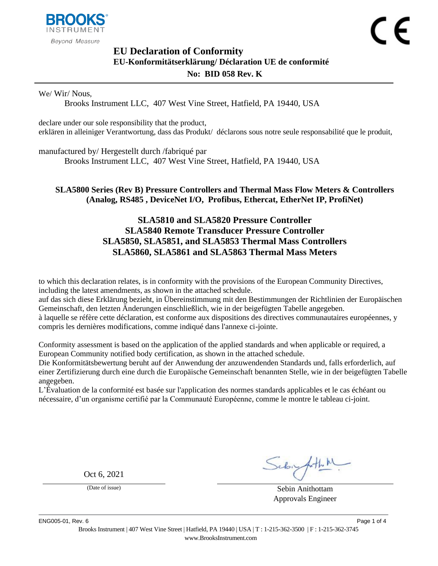

# <span id="page-0-1"></span><span id="page-0-0"></span>**EU Declaration of Conformity EU-Konformitätserklärung/ Déclaration UE de conformité No: BID 058 Rev. K**

#### We/ Wir/ Nous,

Brooks Instrument LLC, 407 West Vine Street, Hatfield, PA 19440, USA

declare under our sole responsibility that the product, erklären in alleiniger Verantwortung, dass das Produkt/ déclarons sous notre seule responsabilité que le produit,

manufactured by/ Hergestellt durch /fabriqué par

Brooks Instrument LLC, 407 West Vine Street, Hatfield, PA 19440, USA

#### <span id="page-0-2"></span>**SLA5800 Series (Rev B) Pressure Controllers and Thermal Mass Flow Meters & Controllers (Analog, RS485 , DeviceNet I/O, Profibus, Ethercat, EtherNet IP, ProfiNet)**

## **SLA5810 and SLA5820 Pressure Controller SLA5840 Remote Transducer Pressure Controller SLA5850, SLA5851, and SLA5853 Thermal Mass Controllers SLA5860, SLA5861 and SLA5863 Thermal Mass Meters**

to which this declaration relates, is in conformity with the provisions of the European Community Directives, including the latest amendments, as shown in the attached schedule.

auf das sich diese Erklärung bezieht, in Übereinstimmung mit den Bestimmungen der Richtlinien der Europäischen Gemeinschaft, den letzten Änderungen einschließlich, wie in der beigefügten Tabelle angegeben. à laquelle se réfère cette déclaration, est conforme aux dispositions des directives communautaires européennes, y compris les dernières modifications, comme indiqué dans l'annexe ci-jointe.

Conformity assessment is based on the application of the applied standards and when applicable or required, a European Community notified body certification, as shown in the attached schedule.

Die Konformitätsbewertung beruht auf der Anwendung der anzuwendenden Standards und, falls erforderlich, auf einer Zertifizierung durch eine durch die Europäische Gemeinschaft benannten Stelle, wie in der beigefügten Tabelle angegeben.

L'Évaluation de la conformité est basée sur l'application des normes standards applicables et le cas échéant ou nécessaire, d'un organisme certifié par la Communauté Européenne, comme le montre le tableau ci-joint.

Oct 6, 2021

Sebighthe

(Date of issue) Sebin Anithottam Approvals Engineer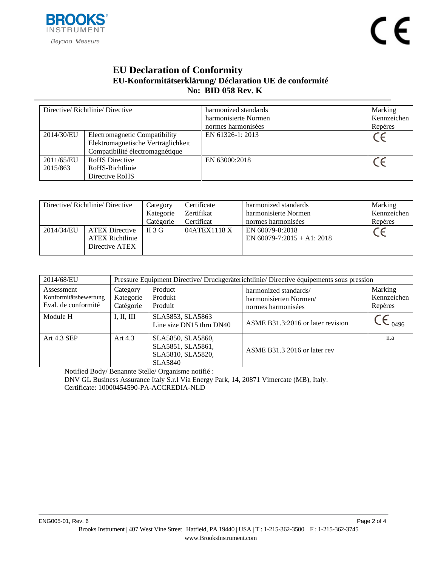

## **EU Declaration of Conformity EU-Konformitätserklärung/ Déclaration UE de conformité No: BID [058](#page-0-0) Rev. [K](#page-0-1)**

| Directive/Richtlinie/Directive |                                      | harmonized standards | Marking     |
|--------------------------------|--------------------------------------|----------------------|-------------|
|                                |                                      | harmonisierte Normen | Kennzeichen |
|                                |                                      | normes harmonisées   | Repères     |
| 2014/30/EU                     | <b>Electromagnetic Compatibility</b> | EN 61326-1: 2013     |             |
|                                | Elektromagnetische Verträglichkeit   |                      |             |
|                                | Compatibilité électromagnétique      |                      |             |
| 2011/65/EU                     | <b>RoHS</b> Directive                | EN 63000:2018        |             |
| 2015/863                       | RoHS-Richtlinie                      |                      |             |
|                                | Directive RoHS                       |                      |             |

| Directive/Richtlinie/Directive |                        | Category  | Certificate  | harmonized standards          | Marking     |
|--------------------------------|------------------------|-----------|--------------|-------------------------------|-------------|
|                                |                        | Kategorie | Zertifikat   | harmonisierte Normen          | Kennzeichen |
|                                |                        | Catégorie | Certificat   | normes harmonisées            | Repères     |
| 2014/34/EU                     | <b>ATEX Directive</b>  | II 3 G    | 04ATEX1118 X | EN 60079-0:2018               |             |
|                                | <b>ATEX Richtlinie</b> |           |              | EN $60079 - 7:2015 + A1:2018$ |             |
|                                | Directive ATEX         |           |              |                               |             |
|                                |                        |           |              |                               |             |

| 2014/68/EU                                                 |                                    | Pressure Equipment Directive/ Druckgeräterichtlinie/ Directive équipements sous pression |                                                                       |                                   |  |  |
|------------------------------------------------------------|------------------------------------|------------------------------------------------------------------------------------------|-----------------------------------------------------------------------|-----------------------------------|--|--|
| Assessment<br>Konformitätsbewertung<br>Eval. de conformité | Category<br>Kategorie<br>Catégorie | Product<br>Produkt<br>Produit                                                            | harmonized standards/<br>harmonisierten Normen/<br>normes harmonisées | Marking<br>Kennzeichen<br>Repères |  |  |
| Module H                                                   | I, II, III                         | SLA5853, SLA5863<br>Line size DN15 thru DN40                                             | ASME B31.3:2016 or later revision                                     | 0496                              |  |  |
| Art 4.3 SEP                                                | Art $4.3$                          | SLA5850, SLA5860,<br>SLA5851, SLA5861,<br>SLA5810, SLA5820,<br><b>SLA5840</b>            | ASME B31.3 2016 or later rev                                          | n.a                               |  |  |

Notified Body/ Benannte Stelle/ Organisme notifié :

DNV GL Business Assurance Italy S.r.l Via Energy Park, 14, 20871 Vimercate (MB), Italy. Certificate: 10000454590-PA-ACCREDIA-NLD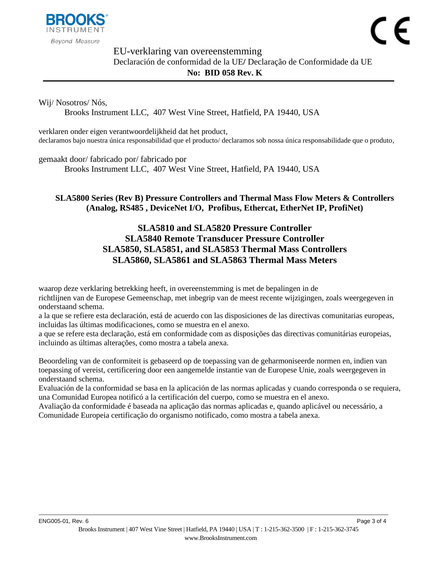

EU-verklaring van overeenstemming Declaración de conformidad de la UE**/** Declaração de Conformidade da UE **No: BID [058](#page-0-0) Rev. [K](#page-0-1)**

Wij/ Nosotros/ Nós,

Brooks Instrument LLC, 407 West Vine Street, Hatfield, PA 19440, USA

verklaren onder eigen verantwoordelijkheid dat het product, declaramos bajo nuestra única responsabilidad que el producto/ declaramos sob nossa única responsabilidade que o produto,

gemaakt door/ fabricado por/ fabricado por

Brooks Instrument LLC, 407 West Vine Street, Hatfield, PA 19440, USA

#### **[SLA5800 Series \(Rev B\) Pressure Controllers and Thermal Mass Flow Meters & Controllers](#page-0-2)  [\(Analog, RS485 , DeviceNet I/O, Profibus, Ethercat, EtherNet IP, ProfiNet\)](#page-0-2)**

## **SLA5810 and SLA5820 Pressure Controller SLA5840 Remote Transducer Pressure Controller SLA5850, SLA5851, and SLA5853 Thermal Mass Controllers SLA5860, SLA5861 and SLA5863 Thermal Mass Meters**

waarop deze verklaring betrekking heeft, in overeenstemming is met de bepalingen in de richtlijnen van de Europese Gemeenschap, met inbegrip van de meest recente wijzigingen, zoals weergegeven in onderstaand schema.

a la que se refiere esta declaración, está de acuerdo con las disposiciones de las directivas comunitarias europeas, incluidas las últimas modificaciones, como se muestra en el anexo.

a que se refere esta declaração, está em conformidade com as disposições das directivas comunitárias europeias, incluindo as últimas alterações, como mostra a tabela anexa.

Beoordeling van de conformiteit is gebaseerd op de toepassing van de geharmoniseerde normen en, indien van toepassing of vereist, certificering door een aangemelde instantie van de Europese Unie, zoals weergegeven in onderstaand schema.

Evaluación de la conformidad se basa en la aplicación de las normas aplicadas y cuando corresponda o se requiera, una Comunidad Europea notificó a la certificación del cuerpo, como se muestra en el anexo.

Avaliação da conformidade é baseada na aplicação das normas aplicadas e, quando aplicável ou necessário, a Comunidade Europeia certificação do organismo notificado, como mostra a tabela anexa.